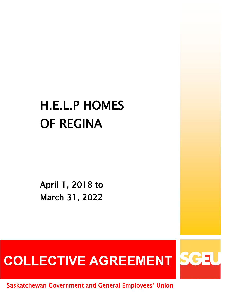# H.E.L.P HOMES OF REGINA

April 1, 2018 to March 31, 2022

# COLLECTIVE AGREEMENT SCEU

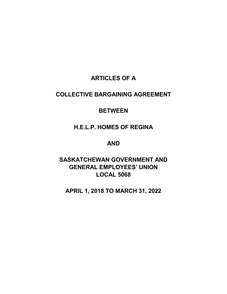## **ARTICLES OF A**

## **COLLECTIVE BARGAINING AGREEMENT**

## **BETWEEN**

**H.E.L.P. HOMES OF REGINA**

## **AND**

**SASKATCHEWAN GOVERNMENT AND GENERAL EMPLOYEES' UNION LOCAL 5068**

**APRIL 1, 2018 TO MARCH 31, 2022**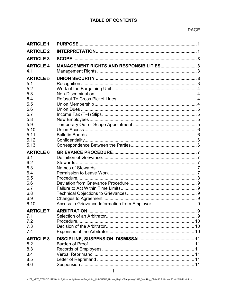| <b>ARTICLE 1</b>        |                                          |  |
|-------------------------|------------------------------------------|--|
| <b>ARTICLE 2</b>        |                                          |  |
| <b>ARTICLE 3</b>        |                                          |  |
| <b>ARTICLE 4</b><br>4.1 | MANAGEMENT RIGHTS AND RESPONSIBILITIES 3 |  |
| <b>ARTICLE 5</b>        |                                          |  |
| 5.1                     |                                          |  |
| 5.2                     |                                          |  |
| 5.3                     |                                          |  |
| 5.4<br>5.5              |                                          |  |
| 5.6                     |                                          |  |
| 5.7                     |                                          |  |
| 5.8                     |                                          |  |
| 5.9                     |                                          |  |
| 5.10                    |                                          |  |
| 5.11                    |                                          |  |
| 5.12                    |                                          |  |
| 5.13                    |                                          |  |
| <b>ARTICLE 6</b>        |                                          |  |
| 6.1                     |                                          |  |
| 6.2                     |                                          |  |
| 6.3                     |                                          |  |
| 6.4                     |                                          |  |
| 6.5<br>6.6              |                                          |  |
| 6.7                     |                                          |  |
| 6.8                     |                                          |  |
| 6.9                     |                                          |  |
| 6.10                    |                                          |  |
| <b>ARTICLE 7</b>        |                                          |  |
| 7.1                     |                                          |  |
| 7.2                     |                                          |  |
| 7.3                     |                                          |  |
| 7.4                     |                                          |  |
| <b>ARTICLE 8</b>        |                                          |  |
| 8.2                     |                                          |  |
|                         |                                          |  |
| 8.3                     |                                          |  |
| 8.4                     |                                          |  |
| 8.5<br>8.6              |                                          |  |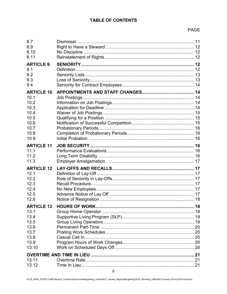## **PAGE**

| 8.7<br>8.9<br>8.10<br>8.11                                                                |              |  |
|-------------------------------------------------------------------------------------------|--------------|--|
| <b>ARTICLE 9</b><br>9.1<br>9.2<br>9.3<br>9.4                                              |              |  |
| <b>ARTICLE 10</b><br>10.1<br>10.2<br>10.3<br>10.4<br>10.5<br>10.6<br>10.7<br>10.8<br>10.9 | Job Postings |  |
| <b>ARTICLE 11</b><br>11.1<br>11.2<br>11.3                                                 |              |  |
| <b>ARTICLE 12</b><br>12.1<br>12.2<br>12.3<br>12.4<br>12.5<br>12.6                         |              |  |
| <b>ARTICLE 13</b><br>13.1<br>13.4<br>13.5<br>13.6<br>13.7<br>13.8<br>13.9<br>13.10        |              |  |
| 13.11<br>13.12                                                                            |              |  |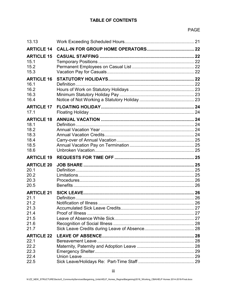| 13.13                                                                     |                         |  |
|---------------------------------------------------------------------------|-------------------------|--|
| <b>ARTICLE 14</b>                                                         |                         |  |
| <b>ARTICLE 15</b><br>15.1<br>15.2<br>15.3                                 |                         |  |
| <b>ARTICLE 16</b><br>16.1<br>16.2<br>16.3<br>16.4                         |                         |  |
| <b>ARTICLE 17</b><br>17.1                                                 |                         |  |
| <b>ARTICLE 18</b><br>18.1<br>18.2<br>18.3<br>18.4<br>18.5<br>18.6         |                         |  |
| <b>ARTICLE 19</b>                                                         |                         |  |
| <b>ARTICLE 20</b><br>20.1<br>20.2<br>20.3<br>20.5                         |                         |  |
| <b>ARTICLE 21</b><br>21.1<br>21.2<br>21.3<br>21.4<br>21.5<br>21.6<br>21.7 | Notification of Illness |  |
| <b>ARTICLE 22</b><br>22.1<br>22.2<br>22.3<br>22.4<br>22.5                 |                         |  |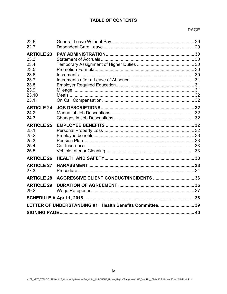## **PAGE**

| 22.6<br>22.7                                                                                |                                                         |  |
|---------------------------------------------------------------------------------------------|---------------------------------------------------------|--|
| <b>ARTICLE 23</b><br>23.3<br>23.4<br>23.5<br>23.6<br>23.7<br>23.8<br>23.9<br>23.10<br>23.11 |                                                         |  |
| <b>ARTICLE 24</b><br>24.2<br>24.3                                                           |                                                         |  |
| <b>ARTICLE 25</b><br>25.1<br>25.2<br>25.3<br>25.4<br>25.5                                   |                                                         |  |
| <b>ARTICLE 26</b>                                                                           |                                                         |  |
| <b>ARTICLE 27</b><br>27.3                                                                   |                                                         |  |
| <b>ARTICLE 28</b>                                                                           |                                                         |  |
| <b>ARTICLE 29</b><br>29.2                                                                   |                                                         |  |
|                                                                                             |                                                         |  |
|                                                                                             | LETTER OF UNDERSTANDING #1 Health Benefits Committee 39 |  |
|                                                                                             |                                                         |  |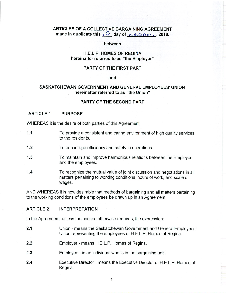## ARTICLES OF A COLLECTIVE BARGAINING AGREEMENT made in duplicate this  $3\frac{3}{2}$  day of November, 2018.

#### between

#### **H.E.L.P. HOMES OF REGINA** hereinafter referred to as "the Employer"

#### PARTY OF THE FIRST PART

#### and

## SASKATCHEWAN GOVERNMENT AND GENERAL EMPLOYEES' UNION hereinafter referred to as "the Union"

#### PARTY OF THE SECOND PART

#### **ARTICLE 1 PURPOSE**

WHEREAS it is the desire of both parties of this Agreement:

- $1.1$ To provide a consistent and caring environment of high quality services to the residents.
- $1.2$ To encourage efficiency and safety in operations.
- $1.3$ To maintain and improve harmonious relations between the Employer and the employees.
- $1.4$ To recognize the mutual value of joint discussion and negotiations in all matters pertaining to working conditions, hours of work, and scale of wages.

AND WHEREAS it is now desirable that methods of bargaining and all matters pertaining to the working conditions of the employees be drawn up in an Agreement.

#### **ARTICLE 2 INTERPRETATION**

In the Agreement, unless the context otherwise requires, the expression:

- $2.1$ Union - means the Saskatchewan Government and General Employees' Union representing the employees of H.E.L.P. Homes of Regina.
- $2.2$ Employer - means H.E.L.P. Homes of Regina.
- $2.3$ Employee - is an individual who is in the bargaining unit.
- $2.4$ Executive Director - means the Executive Director of H.E.L.P. Homes of Regina.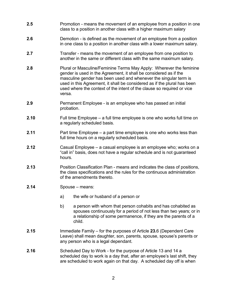- **2.5** Promotion means the movement of an employee from a position in one class to a position in another class with a higher maximum salary
- **2.6** Demotion is defined as the movement of an employee from a position in one class to a position in another class with a lower maximum salary.
- **2.7** Transfer means the movement of an employee from one position to another in the same or different class with the same maximum salary.
- **2.8** Plural or Masculine/Feminine Terms May Apply: Wherever the feminine gender is used in the Agreement, it shall be considered as if the masculine gender has been used and whenever the singular term is used in this Agreement, it shall be considered as if the plural has been used where the context of the intent of the clause so required or vice versa.
- **2.9** Permanent Employee is an employee who has passed an initial probation.
- **2.10** Full time Employee a full time employee is one who works full time on a regularly scheduled basis.
- **2.11** Part time Employee a part time employee is one who works less than full time hours on a regularly scheduled basis.
- **2.12** Casual Employee a casual employee is an employee who; works on a "call in" basis, does not have a regular schedule and is not guaranteed hours.
- **2.13** Position Classification Plan means and indicates the class of positions, the class specifications and the rules for the continuous administration of the amendments thereto.
- **2.14** Spouse means:
	- a) the wife or husband of a person or
	- b) a person with whom that person cohabits and has cohabited as spouses continuously for a period of not less than two years; or in a relationship of some permanence, if they are the parents of a child.
- **2.15** Immediate Family for the purposes of Article **23.**6 (Dependent Care Leave) shall mean daughter, son, parents, spouse, spouse's parents or any person who is a legal dependant.
- **2.16** Scheduled Day to Work for the purpose of Article 13 and 14 a scheduled day to work is a day that, after an employee's last shift, they are scheduled to work again on that day. A scheduled day off is when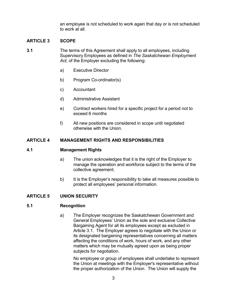an employee is not scheduled to work again that day or is not scheduled to work at all.

## <span id="page-8-0"></span>**ARTICLE 3 SCOPE**

- **3.1** The terms of this Agreement shall apply to all employees, including Supervisory Employees as defined in *The Saskatchewan Employment Act,* of the Employer excluding the following:
	- a) Executive Director
	- b) Program Co-ordinator(s)
	- c) Accountant
	- d) Administrative Assistant
	- e) Contract workers hired for a specific project for a period not to exceed 6 months
	- f) All new positions are considered in scope until negotiated otherwise with the Union.

#### <span id="page-8-1"></span>**ARTICLE 4 MANAGEMENT RIGHTS AND RESPONSIBILITIES**

#### <span id="page-8-2"></span>**4.1 Management Rights**

- a) The union acknowledges that it is the right of the Employer to manage the operation and workforce subject to the terms of the collective agreement.
- b) It is the Employer's responsibility to take all measures possible to protect all employees' personal information.

## <span id="page-8-3"></span>**ARTICLE 5 UNION SECURITY**

#### <span id="page-8-4"></span>**5.1 Recognition**

a) The Employer recognizes the Saskatchewan Government and General Employees' Union as the sole and exclusive Collective Bargaining Agent for all its employees except as excluded in Article 3.1. The Employer agrees to negotiate with the Union or its designated bargaining representatives concerning all matters affecting the conditions of work, hours of work, and any other matters which may be mutually agreed upon as being proper subjects for negotiation.

No employee or group of employees shall undertake to represent the Union at meetings with the Employer's representative without the proper authorization of the Union. The Union will supply the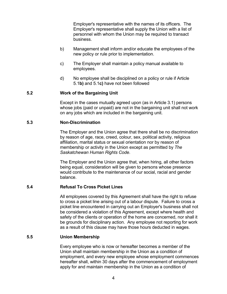Employer's representative with the names of its officers. The Employer's representative shall supply the Union with a list of personnel with whom the Union may be required to transact business.

- b) Management shall inform and/or educate the employees of the new policy or rule prior to implementation.
- c) The Employer shall maintain a policy manual available to employees.
- d) No employee shall be disciplined on a policy or rule if Article 5.1**b)** and 5.1**c)** have not been followed

## <span id="page-9-0"></span>**5.2 Work of the Bargaining Unit**

Except in the cases mutually agreed upon (as in Article 3.1) persons whose jobs (paid or unpaid) are not in the bargaining unit shall not work on any jobs which are included in the bargaining unit.

## <span id="page-9-1"></span>**5.3 Non-Discrimination**

The Employer and the Union agree that there shall be no discrimination by reason of age, race, creed, colour, sex, political activity, religious affiliation, marital status or sexual orientation nor by reason of membership or activity in the Union except as permitted by *The Saskatchewan Human Rights Code*.

The Employer and the Union agree that, when hiring, all other factors being equal, consideration will be given to persons whose presence would contribute to the maintenance of our social, racial and gender balance.

## <span id="page-9-2"></span>**5.4 Refusal To Cross Picket Lines**

All employees covered by this Agreement shall have the right to refuse to cross a picket line arising out of a labour dispute. Failure to cross a picket line encountered in carrying out an Employer's business shall not be considered a violation of this Agreement, except where health and safety of the clients or operation of the home are concerned, nor shall it be grounds for disciplinary action. Any employee not reporting for work as a result of this clause may have those hours deducted in wages.

## <span id="page-9-3"></span>**5.5 Union Membership**

Every employee who is now or hereafter becomes a member of the Union shall maintain membership in the Union as a condition of employment, and every new employee whose employment commences hereafter shall, within 30 days after the commencement of employment apply for and maintain membership in the Union as a condition of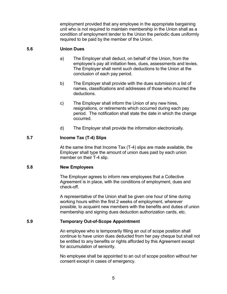employment provided that any employee in the appropriate bargaining unit who is not required to maintain membership in the Union shall as a condition of employment tender to the Union the periodic dues uniformly required to be paid by the member of the Union.

## <span id="page-10-0"></span>**5.6 Union Dues**

- a) The Employer shall deduct, on behalf of the Union, from the employee's pay all initiation fees, dues, assessments and levies. The Employer shall remit such deductions to the Union at the conclusion of each pay period.
- b) The Employer shall provide with the dues submission a list of names, classifications and addresses of those who incurred the deductions.
- c) The Employer shall inform the Union of any new hires, resignations, or retirements which occurred during each pay period. The notification shall state the date in which the change occurred.
- d) The Employer shall provide the information electronically.

## <span id="page-10-1"></span>**5.7 Income Tax (T-4) Slips**

At the same time that Income Tax (T-4) slips are made available, the Employer shall type the amount of union dues paid by each union member on their T-4 slip.

## <span id="page-10-2"></span>**5.8 New Employees**

The Employer agrees to inform new employees that a Collective Agreement is in place, with the conditions of employment, dues and check-off.

A representative of the Union shall be given one hour of time during working hours within the first 2 weeks of employment, wherever possible, to acquaint new members with the benefits and duties of union membership and signing dues deduction authorization cards, etc.

## <span id="page-10-3"></span>**5.9 Temporary Out-of-Scope Appointment**

An employee who is temporarily filling an out of scope position shall continue to have union dues deducted from her pay cheque but shall not be entitled to any benefits or rights afforded by this Agreement except for accumulation of seniority.

No employee shall be appointed to an out of scope position without her consent except in cases of emergency.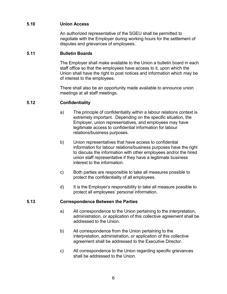## <span id="page-11-0"></span>**5.10 Union Access**

An authorized representative of the SGEU shall be permitted to negotiate with the Employer during working hours for the settlement of disputes and grievances of employees.

## <span id="page-11-1"></span>**5.11 Bulletin Boards**

The Employer shall make available to the Union a bulletin board in each staff office so that the employees have access to it, upon which the Union shall have the right to post notices and information which may be of interest to the employees.

There shall also be an opportunity made available to announce union meetings at all staff meetings.

## <span id="page-11-2"></span>**5.12 Confidentiality**

- a) The principle of confidentiality within a labour relations context is extremely important. Depending on the specific situation, the Employer, union representatives, and employees may have legitimate access to confidential information for labour relations/business purposes.
- b) Union representatives that have access to confidential information for labour relations/business purposes have the right to discuss the information with other employees and/or the hired union staff representative if they have a legitimate business interest to the information.
- c) Both parties are responsible to take all measures possible to protect the confidentiality of all employees.
- d) It is the Employer's responsibility to take all measure possible to protect all employees' personal information.

## <span id="page-11-3"></span>**5.13 Correspondence Between the Parties**

- a) All correspondence to the Union pertaining to the interpretation, administration, or application of this collective agreement shall be addressed to the Union.
- b) All correspondence from the Union pertaining to the interpretation, administration, or application of this collective agreement shall be addressed to the Executive Director.
- c) All correspondence to the Union regarding specific grievances shall be addressed to the Union.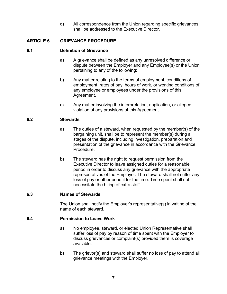d) All correspondence from the Union regarding specific grievances shall be addressed to the Executive Director.

## <span id="page-12-0"></span>**ARTICLE 6 GRIEVANCE PROCEDURE**

## <span id="page-12-1"></span>**6.1 Definition of Grievance**

- a) A grievance shall be defined as any unresolved difference or dispute between the Employer and any Employee(s) or the Union pertaining to any of the following:
- b) Any matter relating to the terms of employment, conditions of employment, rates of pay, hours of work, or working conditions of any employee or employees under the provisions of this Agreement.
- c) Any matter involving the interpretation, application, or alleged violation of any provisions of this Agreement.

## <span id="page-12-2"></span>**6.2 Stewards**

- a) The duties of a steward, when requested by the member(s) of the bargaining unit, shall be to represent the member(s) during all stages of the dispute, including investigation, preparation and presentation of the grievance in accordance with the Grievance Procedure.
- b) The steward has the right to request permission from the Executive Director to leave assigned duties for a reasonable period in order to discuss any grievance with the appropriate representatives of the Employer. The steward shall not suffer any loss of pay or other benefit for the time. Time spent shall not necessitate the hiring of extra staff.

## <span id="page-12-3"></span>**6.3 Names of Stewards**

The Union shall notify the Employer's representative(s) in writing of the name of each steward.

## <span id="page-12-4"></span>**6.4 Permission to Leave Work**

- a) No employee, steward, or elected Union Representative shall suffer loss of pay by reason of time spent with the Employer to discuss grievances or complaint(s) provided there is coverage available.
- b) The grievor(s) and steward shall suffer no loss of pay to attend all grievance meetings with the Employer.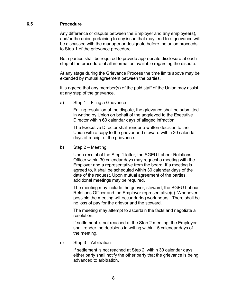## <span id="page-13-0"></span>**6.5 Procedure**

Any difference or dispute between the Employer and any employee(s), and/or the union pertaining to any issue that may lead to a grievance will be discussed with the manager or designate before the union proceeds to Step 1 of the grievance procedure.

Both parties shall be required to provide appropriate disclosure at each step of the procedure of all information available regarding the dispute.

At any stage during the Grievance Process the time limits above may be extended by mutual agreement between the parties.

It is agreed that any member(s) of the paid staff of the Union may assist at any step of the grievance.

a) Step 1 – Filing a Grievance

Failing resolution of the dispute, the grievance shall be submitted in writing by Union on behalf of the aggrieved to the Executive Director within 60 calendar days of alleged infraction.

The Executive Director shall render a written decision to the Union with a copy to the grievor and steward within 30 calendar days of receipt of the grievance.

b) Step 2 – Meeting

Upon receipt of the Step 1 letter, the SGEU Labour Relations Officer within 30 calendar days may request a meeting with the Employer and a representative from the board. If a meeting is agreed to, it shall be scheduled within 30 calendar days of the date of the request. Upon mutual agreement of the parties, additional meetings may be required.

The meeting may include the grievor, steward, the SGEU Labour Relations Officer and the Employer representative(s). Whenever possible the meeting will occur during work hours. There shall be no loss of pay for the grievor and the steward.

The meeting may attempt to ascertain the facts and negotiate a resolution.

If settlement is not reached at the Step 2 meeting, the Employer shall render the decisions in writing within 15 calendar days of the meeting.

c) Step 3 – Arbitration

If settlement is not reached at Step 2, within 30 calendar days, either party shall notify the other party that the grievance is being advanced to arbitration.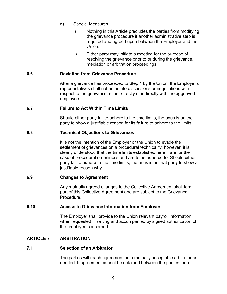- d) Special Measures
	- i) Nothing in this Article precludes the parties from modifying the grievance procedure if another administrative step is required and agreed upon between the Employer and the Union.
	- ii) Either party may initiate a meeting for the purpose of resolving the grievance prior to or during the grievance, mediation or arbitration proceedings.

#### <span id="page-14-0"></span>**6.6 Deviation from Grievance Procedure**

After a grievance has proceeded to Step 1 by the Union, the Employer's representatives shall not enter into discussions or negotiations with respect to the grievance, either directly or indirectly with the aggrieved employee.

## <span id="page-14-1"></span>**6.7 Failure to Act Within Time Limits**

Should either party fail to adhere to the time limits, the onus is on the party to show a justifiable reason for its failure to adhere to the limits.

## <span id="page-14-2"></span>**6.8 Technical Objections to Grievances**

It is not the intention of the Employer or the Union to evade the settlement of grievances on a procedural technicality; however, it is clearly understood that the time limits established herein are for the sake of procedural orderliness and are to be adhered to. Should either party fail to adhere to the time limits, the onus is on that party to show a justifiable reason why.

## <span id="page-14-3"></span>**6.9 Changes to Agreement**

Any mutually agreed changes to the Collective Agreement shall form part of this Collective Agreement and are subject to the Grievance Procedure.

## <span id="page-14-4"></span>**6.10 Access to Grievance Information from Employer**

The Employer shall provide to the Union relevant payroll information when requested in writing and accompanied by signed authorization of the employee concerned.

## <span id="page-14-5"></span>**ARTICLE 7 ARBITRATION**

## <span id="page-14-6"></span>**7.1 Selection of an Arbitrator**

The parties will reach agreement on a mutually acceptable arbitrator as needed. If agreement cannot be obtained between the parties then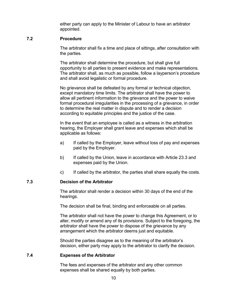either party can apply to the Minister of Labour to have an arbitrator appointed.

#### <span id="page-15-0"></span>**7.2 Procedure**

The arbitrator shall fix a time and place of sittings, after consultation with the parties.

The arbitrator shall determine the procedure, but shall give full opportunity to all parties to present evidence and make representations. The arbitrator shall, as much as possible, follow a layperson's procedure and shall avoid legalistic or formal procedure.

No grievance shall be defeated by any formal or technical objection, except mandatory time limits. The arbitrator shall have the power to allow all pertinent information to the grievance and the power to waive formal procedural irregularities in the processing of a grievance, in order to determine the real matter in dispute and to render a decision according to equitable principles and the justice of the case.

In the event that an employee is called as a witness in the arbitration hearing, the Employer shall grant leave and expenses which shall be applicable as follows:

- a) If called by the Employer, leave without loss of pay and expenses paid by the Employer.
- b) If called by the Union, leave in accordance with Article 23.3 and expenses paid by the Union.
- c) If called by the arbitrator, the parties shall share equally the costs.

## <span id="page-15-1"></span>**7.3 Decision of the Arbitrator**

The arbitrator shall render a decision within 30 days of the end of the hearings.

The decision shall be final, binding and enforceable on all parties.

The arbitrator shall not have the power to change this Agreement, or to alter, modify or amend any of its provisions. Subject to the foregoing, the arbitrator shall have the power to dispose of the grievance by any arrangement which the arbitrator deems just and equitable.

Should the parties disagree as to the meaning of the arbitrator's decision, either party may apply to the arbitrator to clarify the decision.

## <span id="page-15-2"></span>**7.4 Expenses of the Arbitrator**

The fees and expenses of the arbitrator and any other common expenses shall be shared equally by both parties.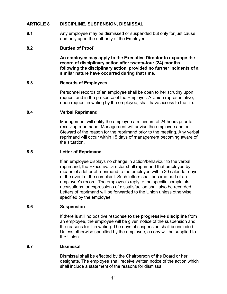## <span id="page-16-0"></span>**ARTICLE 8 DISCIPLINE, SUSPENSION, DISMISSAL**

**8.1** Any employee may be dismissed or suspended but only for just cause, and only upon the authority of the Employer.

## <span id="page-16-1"></span>**8.2 Burden of Proof**

**An employee may apply to the Executive Director to expunge the record of disciplinary action after twenty-four (24) months following the disciplinary action, provided no further incidents of a similar nature have occurred during that time**.

## <span id="page-16-2"></span>**8.3 Records of Employees**

Personnel records of an employee shall be open to her scrutiny upon request and in the presence of the Employer. A Union representative, upon request in writing by the employee, shall have access to the file.

## <span id="page-16-3"></span>**8.4 Verbal Reprimand**

Management will notify the employee a minimum of 24 hours prior to receiving reprimand. Management will advise the employee and or Steward of the reason for the reprimand prior to the meeting. Any verbal reprimand will occur within 15 days of management becoming aware of the situation.

## <span id="page-16-4"></span>**8.5 Letter of Reprimand**

If an employee displays no change in action/behaviour to the verbal reprimand, the Executive Director shall reprimand that employee by means of a letter of reprimand to the employee within 30 calendar days of the event of the complaint. Such letters shall become part of an employee's record. The employee's reply to the specific complaints, accusations, or expressions of dissatisfaction shall also be recorded. Letters of reprimand will be forwarded to the Union unless otherwise specified by the employee.

## <span id="page-16-5"></span>**8.6 Suspension**

If there is still no positive response **to the progressive discipline** from an employee, the employee will be given notice of the suspension and the reasons for it in writing. The days of suspension shall be included. Unless otherwise specified by the employee, a copy will be supplied to the Union.

## <span id="page-16-6"></span>**8.7 Dismissal**

Dismissal shall be effected by the Chairperson of the Board or her designate. The employee shall receive written notice of the action which shall include a statement of the reasons for dismissal.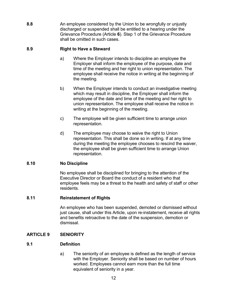**8.8** An employee considered by the Union to be wrongfully or unjustly discharged or suspended shall be entitled to a hearing under the Grievance Procedure (Article **6**). Step 1 of the Grievance Procedure shall be omitted in such cases.

## <span id="page-17-0"></span>**8.9 Right to Have a Steward**

- a) Where the Employer intends to discipline an employee the Employer shall inform the employee of the purpose, date and time of the meeting and her right to union representation. The employee shall receive the notice in writing at the beginning of the meeting.
- b) When the Employer intends to conduct an investigative meeting which may result in discipline, the Employer shall inform the employee of the date and time of the meeting and her right to union representation. The employee shall receive the notice in writing at the beginning of the meeting.
- c) The employee will be given sufficient time to arrange union representation.
- d) The employee may choose to waive the right to Union representation. This shall be done so in writing. If at any time during the meeting the employee chooses to rescind the waiver, the employee shall be given sufficient time to arrange Union representation.

## <span id="page-17-1"></span>**8.10 No Discipline**

No employee shall be disciplined for bringing to the attention of the Executive Director or Board the conduct of a resident who that employee feels may be a threat to the health and safety of staff or other residents.

## <span id="page-17-2"></span>**8.11 Reinstatement of Rights**

An employee who has been suspended, demoted or dismissed without just cause, shall under this Article, upon re-instatement, receive all rights and benefits retroactive to the date of the suspension, demotion or dismissal.

## <span id="page-17-3"></span>**ARTICLE 9 SENIORITY**

## <span id="page-17-4"></span>**9.1 Definition**

a) The seniority of an employee is defined as the length of service with the Employer. Seniority shall be based on number of hours worked. Employees cannot earn more than the full time equivalent of seniority in a year.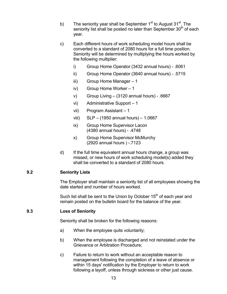- b) The seniority year shall be September  $1<sup>st</sup>$  to August 31 $<sup>st</sup>$ . The</sup> seniority list shall be posted no later than September 30<sup>th</sup> of each year.
- c) Each different hours of work scheduling model hours shall be converted to a standard of 2080 hours for a full time position. Seniority will be determined by multiplying the hours worked by the following multiplier:
	- i) Group Home Operator (3432 annual hours) .6061
	- ii) Group Home Operator (3640 annual hours) .5715
	- iii) Group Home Manager 1
	- iv) Group Home Worker 1
	- v) Group Living (3120 annual hours) .6667
	- vi) Administrative Support 1
	- vii) Program Assistant 1
	- viii) SLP (1950 annual hours) 1.0667
	- ix) Group Home Supervisor Lacon (4380 annual hours) - .4748
	- x) Group Home Supervisor McMurchy (2920 annual hours ) -.7123
- d) If the full time equivalent annual hours change, a group was missed, or new hours of work scheduling model(s) added they shall be converted to a standard of 2080 hours.

## <span id="page-18-0"></span>**9.2 Seniority Lists**

The Employer shall maintain a seniority list of all employees showing the date started and number of hours worked.

Such list shall be sent to the Union by October  $15<sup>th</sup>$  of each year and remain posted on the bulletin board for the balance of the year.

## <span id="page-18-1"></span>**9.3 Loss of Seniority**

Seniority shall be broken for the following reasons:

- a) When the employee quits voluntarily;
- b) When the employee is discharged and not reinstated under the Grievance or Arbitration Procedure;
- c) Failure to return to work without an acceptable reason to management following the completion of a leave of absence or within 15 days' notification by the Employer to return to work following a layoff, unless through sickness or other just cause.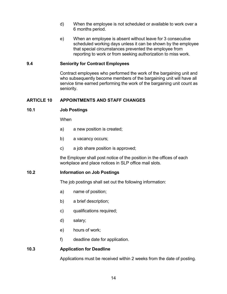- d) When the employee is not scheduled or available to work over a 6 months period.
- e) When an employee is absent without leave for 3 consecutive scheduled working days unless it can be shown by the employee that special circumstances prevented the employee from reporting to work or from seeking authorization to miss work.

## <span id="page-19-0"></span>**9.4 Seniority for Contract Employees**

Contract employees who performed the work of the bargaining unit and who subsequently become members of the bargaining unit will have all service time earned performing the work of the bargaining unit count as seniority.

## <span id="page-19-1"></span>**ARTICLE 10 APPOINTMENTS AND STAFF CHANGES**

## <span id="page-19-2"></span>**10.1 Job Postings**

When

- a) a new position is created;
- b) a vacancy occurs;
- c) a job share position is approved;

the Employer shall post notice of the position in the offices of each workplace and place notices in SLP office mail slots.

## <span id="page-19-3"></span>**10.2 Information on Job Postings**

The job postings shall set out the following information:

- a) name of position;
- b) a brief description;
- c) qualifications required;
- d) salary;
- e) hours of work;
- f) deadline date for application.

## <span id="page-19-4"></span>**10.3 Application for Deadline**

Applications must be received within 2 weeks from the date of posting.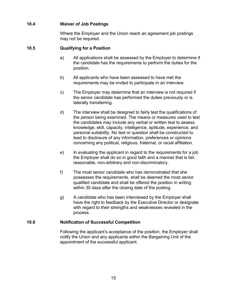## <span id="page-20-0"></span>**10.4 Waiver of Job Postings**

Where the Employer and the Union reach an agreement job postings may not be required.

## <span id="page-20-1"></span>**10.5 Qualifying for a Position**

- a) All applications shall be assessed by the Employer to determine if the candidate has the requirements to perform the duties for the position.
- b) All applicants who have been assessed to have met the requirements may be invited to participate in an interview.
- c) The Employer may determine that an interview is not required if the senior candidate has performed the duties previously or is laterally transferring.
- d) The interview shall be designed to fairly test the qualifications of the person being examined. The means or measures used to test the candidates may include any verbal or written test to assess knowledge, skill, capacity, intelligence, aptitude, experience, and personal suitability. No test or question shall be constructed to lead to disclosure of any information, preferences or opinions concerning any political, religious, fraternal, or racial affiliation.
- e) In evaluating the applicant in regard to the requirements for a job the Employer shall do so in good faith and a manner that is fair, reasonable, non-arbitrary and non-discriminatory.
- f) The most senior candidate who has demonstrated that she possesses the requirements, shall be deemed the most senior qualified candidate and shall be offered the position in writing within 30 days after the closing date of the posting.
- g) A candidate who has been interviewed by the Employer shall have the right to feedback by the Executive Director or designate with regard to their strengths and weaknesses revealed in the process.

## <span id="page-20-2"></span>**10.6 Notification of Successful Competition**

Following the applicant's acceptance of the position, the Employer shall notify the Union and any applicants within the Bargaining Unit of the appointment of the successful applicant.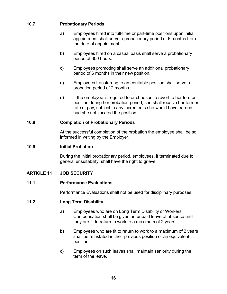## <span id="page-21-0"></span>**10.7 Probationary Periods**

- a) Employees hired into full-time or part-time positions upon initial appointment shall serve a probationary period of 6 months from the date of appointment.
- b) Employees hired on a casual basis shall serve a probationary period of 300 hours.
- c) Employees promoting shall serve an additional probationary period of 6 months in their new position.
- d) Employees transferring to an equitable position shall serve a probation period of 2 months.
- e) If the employee is required to or chooses to revert to her former position during her probation period, she shall receive her former rate of pay, subject to any increments she would have earned had she not vacated the position

## <span id="page-21-1"></span>**10.8 Completion of Probationary Periods**

At the successful completion of the probation the employee shall be so informed in writing by the Employer.

## <span id="page-21-2"></span>**10.9 Initial Probation**

During the initial probationary period, employees, if terminated due to general unsuitability, shall have the right to grieve.

## <span id="page-21-3"></span>**ARTICLE 11 JOB SECURITY**

## <span id="page-21-4"></span>**11.1 Performance Evaluations**

Performance Evaluations shall not be used for disciplinary purposes.

## <span id="page-21-5"></span>**11.2 Long Term Disability**

- a) Employees who are on Long Term Disability or Workers' Compensation shall be given an unpaid leave of absence until they are fit to return to work to a maximum of 2 years.
- b) Employees who are fit to return to work to a maximum of 2 years shall be reinstated in their previous position or an equivalent position.
- c) Employees on such leaves shall maintain seniority during the term of the leave.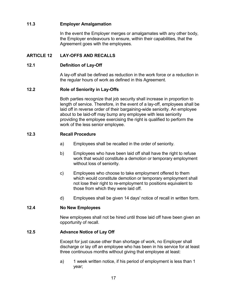## <span id="page-22-0"></span>**11.3 Employer Amalgamation**

In the event the Employer merges or amalgamates with any other body, the Employer endeavours to ensure, within their capabilities, that the Agreement goes with the employees.

## <span id="page-22-1"></span>**ARTICLE 12 LAY-OFFS AND RECALLS**

## <span id="page-22-2"></span>**12.1 Definition of Lay-Off**

A lay-off shall be defined as reduction in the work force or a reduction in the regular hours of work as defined in this Agreement.

## <span id="page-22-3"></span>**12.2 Role of Seniority in Lay-Offs**

Both parties recognize that job security shall increase in proportion to length of service. Therefore, in the event of a lay-off, employees shall be laid off in reverse order of their bargaining-wide seniority. An employee about to be laid-off may bump any employee with less seniority providing the employee exercising the right is qualified to perform the work of the less senior employee.

## <span id="page-22-4"></span>**12.3 Recall Procedure**

- a) Employees shall be recalled in the order of seniority.
- b) Employees who have been laid off shall have the right to refuse work that would constitute a demotion or temporary employment without loss of seniority.
- c) Employees who choose to take employment offered to them which would constitute demotion or temporary employment shall not lose their right to re-employment to positions equivalent to those from which they were laid off.
- d) Employees shall be given 14 days' notice of recall in written form.

## <span id="page-22-5"></span>**12.4 No New Employees**

New employees shall not be hired until those laid off have been given an opportunity of recall.

## <span id="page-22-6"></span>**12.5 Advance Notice of Lay Off**

Except for just cause other than shortage of work, no Employer shall discharge or lay off an employee who has been in his service for at least three continuous months without giving that employee at least:

a) 1 week written notice, if his period of employment is less than 1 year;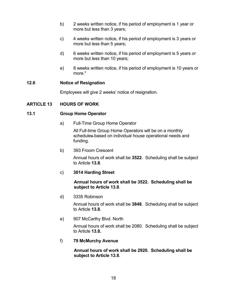- b) 2 weeks written notice, if his period of employment is 1 year or more but less than 3 years;
- c) 4 weeks written notice, if his period of employment is 3 years or more but less than 5 years;
- d) 6 weeks written notice, if his period of employment is 5 years or more but less than 10 years;
- e) 8 weeks written notice, if his period of employment is 10 years or more."

## <span id="page-23-0"></span>**12.6 Notice of Resignation**

Employees will give 2 weeks' notice of resignation.

## <span id="page-23-2"></span><span id="page-23-1"></span>**ARTICLE 13 HOURS OF WORK**

## **13.1 Group Home Operator**

a) Full-Time Group Home Operator

All Full-time Group Home Operators will be on a monthly schedules based on individual house operational needs and funding.

b) 393 Froom Crescent

Annual hours of work shall be **3522**. Scheduling shall be subject to Article **13.8**.

## c) **3014 Harding Street**

**Annual hours of work shall be 3522. Scheduling shall be subject to Article 13.8**.

d) 3335 Robinson

Annual hours of work shall be **3848**. Scheduling shall be subject to Article **13.8**.

e) 907 McCarthy Blvd. North

Annual hours of work shall be 2080. Scheduling shall be subject to Article **13.8.**

## f) **79 McMurchy Avenue**

**Annual hours of work shall be 2920. Scheduling shall be subject to Article 13.8**.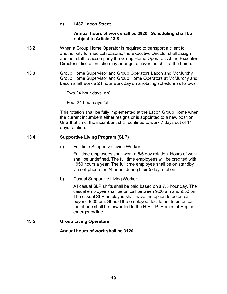## g) **1437 Lacon Street**

## **Annual hours of work shall be 2920. Scheduling shall be subject to Article 13.8**.

- **13.2** When a Group Home Operator is required to transport a client to another city for medical reasons, the Executive Director shall assign another staff to accompany the Group Home Operator. At the Executive Director's discretion, she may arrange to cover the shift at the home.
- **13.3** Group Home Supervisor and Group Operators Lacon and McMurchy Group Home Supervisor and Group Home Operators at McMurchy and Lacon shall work a 24 hour work day on a rotating schedule as follows:

Two 24 hour days "on"

Four 24 hour days "off"

This rotation shall be fully implemented at the Lacon Group Home when the current incumbent either resigns or is appointed to a new position. Until that time, the incumbent shall continue to work 7 days out of 14 days rotation.

## <span id="page-24-0"></span>**13.4 Supportive Living Program (SLP)**

a) Full-time Supportive Living Worker

Full time employees shall work a 5/5 day rotation. Hours of work shall be undefined. The full time employees will be credited with 1950 hours a year. The full time employee shall be on standby via cell phone for 24 hours during their 5 day rotation.

b) Casual Supportive Living Worker

All casual SLP shifts shall be paid based on a 7.5 hour day. The casual employee shall be on call between 9:00 am and 9:00 pm. The casual SLP employee shall have the option to be on call beyond 9:00 pm. Should the employee decide not to be on call, the phone shall be forwarded to the H.E.L.P. Homes of Regina emergency line.

## <span id="page-24-1"></span>**13.5 Group Living Operators**

**Annual hours of work shall be 3120.**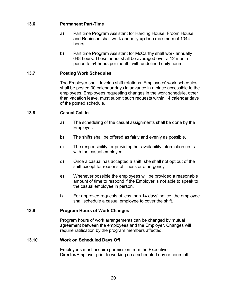## <span id="page-25-0"></span>**13.6 Permanent Part-Time**

- a) Part time Program Assistant for Harding House, Froom House and Robinson shall work annually **up to** a maximum of 1044 hours.
- b) Part time Program Assistant for McCarthy shall work annually 648 hours. These hours shall be averaged over a 12 month period to 54 hours per month, with undefined daily hours.

## <span id="page-25-1"></span>**13.7 Posting Work Schedules**

The Employer shall develop shift rotations. Employees' work schedules shall be posted 30 calendar days in advance in a place accessible to the employees. Employees requesting changes in the work schedule, other than vacation leave, must submit such requests within 14 calendar days of the posted schedule.

## <span id="page-25-2"></span>**13.8 Casual Call In**

- a) The scheduling of the casual assignments shall be done by the Employer.
- b) The shifts shall be offered as fairly and evenly as possible.
- c) The responsibility for providing her availability information rests with the casual employee.
- d) Once a casual has accepted a shift, she shall not opt out of the shift except for reasons of illness or emergency.
- e) Whenever possible the employees will be provided a reasonable amount of time to respond if the Employer is not able to speak to the casual employee in person.
- f) For approved requests of less than 14 days' notice, the employee shall schedule a casual employee to cover the shift.

## <span id="page-25-3"></span>**13.9 Program Hours of Work Changes**

Program hours of work arrangements can be changed by mutual agreement between the employees and the Employer. Changes will require ratification by the program members affected.

## <span id="page-25-4"></span>**13.10 Work on Scheduled Days Off**

Employees must acquire permission from the Executive Director/Employer prior to working on a scheduled day or hours off.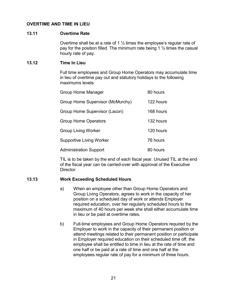## <span id="page-26-1"></span><span id="page-26-0"></span>**OVERTIME AND TIME IN LIEU**

#### **13.11 Overtime Rate**

Overtime shall be at a rate of 1 ½ times the employee's regular rate of pay for the position filled. The minimum rate being 1  $\frac{1}{2}$  times the casual hourly rate of pay.

#### <span id="page-26-2"></span>**13.12 Time In Lieu**

Full time employees and Group Home Operators may accumulate time in lieu of overtime pay out and statutory holidays to the following maximums levels:

| <b>Group Home Manager</b>        | 80 hours  |
|----------------------------------|-----------|
| Group Home Supervisor (McMurchy) | 122 hours |
| Group Home Supervisor (Lacon)    | 168 hours |
| <b>Group Home Operators</b>      | 132 hours |
| <b>Group Living Worker</b>       | 120 hours |
| <b>Supportive Living Worker</b>  | 76 hours  |
| <b>Administration Support</b>    | 80 hours  |

TIL is to be taken by the end of each fiscal year. Unused TIL at the end of the fiscal year can be carried-over with approval of the Executive Director.

## <span id="page-26-3"></span>**13.13 Work Exceeding Scheduled Hours**

- a) When an employee other than Group Home Operators and Group Living Operators, agrees to work in the capacity of her position on a scheduled day of work or attends Employer required education, over her regularly scheduled hours to the maximum of 40 hours per week she shall either accumulate time in lieu or be paid at overtime rates.
- b) Full-time employees and Group Home Operators required by the Employer to work in the capacity of their permanent position or attend meetings related to their permanent position or participate in Employer required education on their scheduled time off, the employee shall be entitled to time in lieu at the rate of time and one half or be paid at a rate of time and one half at the employees regular rate of pay for a minimum of three hours.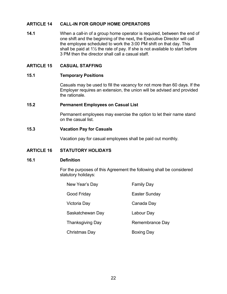## <span id="page-27-0"></span>**ARTICLE 14 CALL-IN FOR GROUP HOME OPERATORS**

**14.1** When a call-in of a group home operator is required, between the end of one shift and the beginning of the next**,** the Executive Director will call the employee scheduled to work the 3:00 PM shift on that day. This shall be paid at 1½ the rate of pay. If she is not available to start before 3 PM then the director shall call a casual staff.

## <span id="page-27-2"></span><span id="page-27-1"></span>**ARTICLE 15 CASUAL STAFFING**

#### **15.1 Temporary Positions**

Casuals may be used to fill the vacancy for not more than 60 days. If the Employer requires an extension, the union will be advised and provided the rationale.

## <span id="page-27-3"></span>**15.2 Permanent Employees on Casual List**

Permanent employees may exercise the option to let their name stand on the casual list.

#### <span id="page-27-4"></span>**15.3 Vacation Pay for Casuals**

Vacation pay for casual employees shall be paid out monthly.

## <span id="page-27-5"></span>**ARTICLE 16 STATUTORY HOLIDAYS**

#### <span id="page-27-6"></span>**16.1 Definition**

For the purposes of this Agreement the following shall be considered statutory holidays:

| New Year's Day          | <b>Family Day</b> |
|-------------------------|-------------------|
| Good Friday             | Easter Sunday     |
| Victoria Day            | Canada Day        |
| Saskatchewan Day        | Labour Day        |
| <b>Thanksgiving Day</b> | Remembrance Day   |
| Christmas Day           | <b>Boxing Day</b> |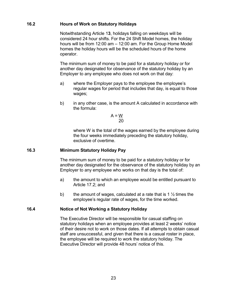## <span id="page-28-0"></span>**16.2 Hours of Work on Statutory Holidays**

Notwithstanding Article 1**3**, holidays falling on weekdays will be considered 24 hour shifts. For the 24 Shift Model homes, the holiday hours will be from 12:00 am – 12:00 am. For the Group Home Model homes the holiday hours will be the scheduled hours of the home operator.

The minimum sum of money to be paid for a statutory holiday or for another day designated for observance of the statutory holiday by an Employer to any employee who does not work on that day:

- a) where the Employer pays to the employee the employee's regular wages for period that includes that day, is equal to those wages;
- b) in any other case, is the amount A calculated in accordance with the formula:

$$
A = \frac{W}{20}
$$

where W is the total of the wages earned by the employee during the four weeks immediately preceding the statutory holiday, exclusive of overtime.

## <span id="page-28-1"></span>**16.3 Minimum Statutory Holiday Pay**

The minimum sum of money to be paid for a statutory holiday or for another day designated for the observance of the statutory holiday by an Employer to any employee who works on that day is the total of:

- a) the amount to which an employee would be entitled pursuant to Article 17.2; and
- b) the amount of wages, calculated at a rate that is 1  $\frac{1}{2}$  times the employee's regular rate of wages, for the time worked.

## <span id="page-28-2"></span>**16.4 Notice of Not Working a Statutory Holiday**

The Executive Director will be responsible for casual staffing on statutory holidays when an employee provides at least 2 weeks' notice of their desire not to work on those dates. If all attempts to obtain casual staff are unsuccessful, and given that there is a casual roster in place, the employee will be required to work the statutory holiday. The Executive Director will provide 48 hours' notice of this.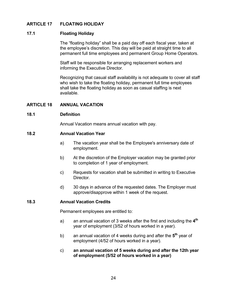## <span id="page-29-1"></span><span id="page-29-0"></span>**ARTICLE 17 FLOATING HOLIDAY**

## **17.1 Floating Holiday**

The "floating holiday" shall be a paid day off each fiscal year, taken at the employee's discretion. This day will be paid at straight time to all permanent full time employees and permanent Group Home Operators.

Staff will be responsible for arranging replacement workers and informing the Executive Director.

Recognizing that casual staff availability is not adequate to cover all staff who wish to take the floating holiday, permanent full time employees shall take the floating holiday as soon as casual staffing is next available.

## <span id="page-29-3"></span><span id="page-29-2"></span>**ARTICLE 18 ANNUAL VACATION**

#### **18.1 Definition**

Annual Vacation means annual vacation with pay.

#### <span id="page-29-4"></span>**18.2 Annual Vacation Year**

- a) The vacation year shall be the Employee's anniversary date of employment.
- b) At the discretion of the Employer vacation may be granted prior to completion of 1 year of employment.
- c) Requests for vacation shall be submitted in writing to Executive Director.
- d) 30 days in advance of the requested dates. The Employer must approve/disapprove within 1 week of the request.

## <span id="page-29-5"></span>**18.3 Annual Vacation Credits**

Permanent employees are entitled to:

- a) an annual vacation of 3 weeks after the first and including the **4th** year of employment (3/52 of hours worked in a year).
- b) an annual vacation of 4 weeks during and after the 5<sup>th</sup> year of employment (4/52 of hours worked in a year).
- c) **an annual vacation of 5 weeks during and after the 12th year of employment (5/52 of hours worked in a year)**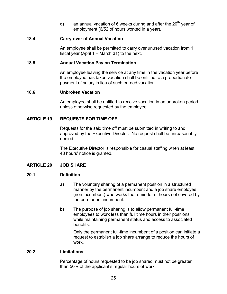d) an annual vacation of 6 weeks during and after the 20**th** year of employment (6/52 of hours worked in a year).

## <span id="page-30-0"></span>**18.4 Carry-over of Annual Vacation**

An employee shall be permitted to carry over unused vacation from 1 fiscal year (April 1 – March 31) to the next.

#### <span id="page-30-1"></span>**18.5 Annual Vacation Pay on Termination**

An employee leaving the service at any time in the vacation year before the employee has taken vacation shall be entitled to a proportionate payment of salary in lieu of such earned vacation.

#### <span id="page-30-2"></span>**18.6 Unbroken Vacation**

An employee shall be entitled to receive vacation in an unbroken period unless otherwise requested by the employee.

#### <span id="page-30-3"></span>**ARTICLE 19 REQUESTS FOR TIME OFF**

Requests for the said time off must be submitted in writing to and approved by the Executive Director.No request shall be unreasonably denied.

The Executive Director is responsible for casual staffing when at least 48 hours' notice is granted.

## <span id="page-30-4"></span>**ARTICLE 20 JOB SHARE**

## <span id="page-30-5"></span>**20.1 Definition**

- a) The voluntary sharing of a permanent position in a structured manner by the permanent incumbent and a job share employee (non-incumbent) who works the reminder of hours not covered by the permanent incumbent.
- b) The purpose of job sharing is to allow permanent full-time employees to work less than full time hours in their positions while maintaining permanent status and access to associated benefits.

Only the permanent full-time incumbent of a position can initiate a request to establish a job share arrange to reduce the hours of work.

#### <span id="page-30-6"></span>**20.2 Limitations**

Percentage of hours requested to be job shared must not be greater than 50% of the applicant's regular hours of work.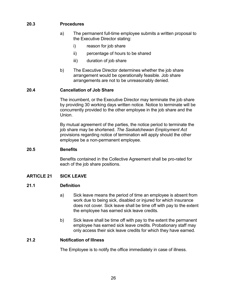## <span id="page-31-0"></span>**20.3 Procedures**

- a) The permanent full-time employee submits a written proposal to the Executive Director stating:
	- i) reason for job share
	- ii) percentage of hours to be shared
	- iii) duration of job share
- b) The Executive Director determines whether the job share arrangement would be operationally feasible. Job share arrangements are not to be unreasonably denied.

## **20.4 Cancellation of Job Share**

The incumbent, or the Executive Director may terminate the job share by providing 30 working days written notice. Notice to terminate will be concurrently provided to the other employee in the job share and the Union.

By mutual agreement of the parties, the notice period to terminate the job share may be shortened. *The Saskatchewan Employment Act* provisions regarding notice of termination will apply should the other employee be a non-permanent employee.

## <span id="page-31-1"></span>**20.5 Benefits**

Benefits contained in the Collective Agreement shall be pro-rated for each of the job share positions.

## <span id="page-31-2"></span>**ARTICLE 21 SICK LEAVE**

## <span id="page-31-3"></span>**21.1 Definition**

- a) Sick leave means the period of time an employee is absent from work due to being sick, disabled or injured for which insurance does not cover. Sick leave shall be time off with pay to the extent the employee has earned sick leave credits.
- b) Sick leave shall be time off with pay to the extent the permanent employee has earned sick leave credits. Probationary staff may only access their sick leave credits for which they have earned.

## <span id="page-31-4"></span>**21.2 Notification of Illness**

The Employee is to notify the office immediately in case of illness.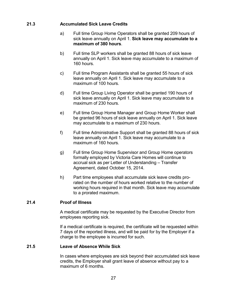## <span id="page-32-0"></span>**21.3 Accumulated Sick Leave Credits**

- a) Full time Group Home Operators shall be granted 209 hours of sick leave annually on April 1. **Sick leave may accumulate to a maximum of 380 hours**.
- b) Full time SLP workers shall be granted 88 hours of sick leave annually on April 1. Sick leave may accumulate to a maximum of 160 hours.
- c) Full time Program Assistants shall be granted 55 hours of sick leave annually on April 1. Sick leave may accumulate to a maximum of 100 hours.
- d) Full time Group Living Operator shall be granted 190 hours of sick leave annually on April 1. Sick leave may accumulate to a maximum of 230 hours.
- e) Full time Group Home Manager and Group Home Worker shall be granted 96 hours of sick leave annually on April 1. Sick leave may accumulate to a maximum of 230 hours.
- f) Full time Administrative Support shall be granted 88 hours of sick leave annually on April 1. Sick leave may accumulate to a maximum of 160 hours.
- g) Full time Group Home Supervisor and Group Home operators formally employed by Victoria Care Homes will continue to accrual sick as per Letter of Understanding – Transfer Agreement, dated October 15, 2014.
- h) Part time employees shall accumulate sick leave credits prorated on the number of hours worked relative to the number of working hours required in that month. Sick leave may accumulate to a prorated maximum.

## <span id="page-32-1"></span>**21.4 Proof of Illness**

A medical certificate may be requested by the Executive Director from employees reporting sick.

If a medical certificate is required, the certificate will be requested within 7 days of the reported illness, and will be paid for by the Employer if a charge to the employee is incurred for such.

## <span id="page-32-2"></span>**21.5 Leave of Absence While Sick**

In cases where employees are sick beyond their accumulated sick leave credits, the Employer shall grant leave of absence without pay to a maximum of 6 months.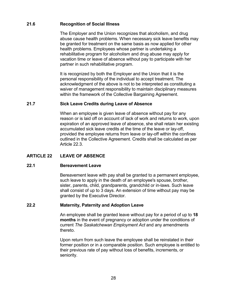## <span id="page-33-0"></span>**21.6 Recognition of Social Illness**

The Employer and the Union recognizes that alcoholism, and drug abuse cause health problems. When necessary sick leave benefits may be granted for treatment on the same basis as now applied for other health problems. Employees whose partner is undertaking a rehabilitative program for alcoholism and drug abuse may apply for vacation time or leave of absence without pay to participate with her partner in such rehabilitative program.

It is recognized by both the Employer and the Union that it is the personal responsibility of the individual to accept treatment. The acknowledgment of the above is not to be interpreted as constituting a waiver of management responsibility to maintain disciplinary measures within the framework of the Collective Bargaining Agreement.

## <span id="page-33-1"></span>**21.7 Sick Leave Credits during Leave of Absence**

When an employee is given leave of absence without pay for any reason or is laid off on account of lack of work and returns to work, upon expiration of an approved leave of absence, she shall retain her existing accumulated sick leave credits at the time of the leave or lay-off, provided the employee returns from leave or lay-off within the confines outlined in the Collective Agreement. Credits shall be calculated as per Article 22.3.

## <span id="page-33-2"></span>**ARTICLE 22 LEAVE OF ABSENCE**

## <span id="page-33-3"></span>**22.1 Bereavement Leave**

Bereavement leave with pay shall be granted to a permanent employee, such leave to apply in the death of an employee's spouse, brother, sister, parents, child, grandparents, grandchild or in-laws. Such leave shall consist of up to 3 days. An extension of time without pay may be granted by the Executive Director.

## <span id="page-33-4"></span>**22.2 Maternity, Paternity and Adoption Leave**

An employee shall be granted leave without pay for a period of up to **18 months** in the event of pregnancy or adoption under the conditions of current *The Saskatchewan Employment Act* and any amendments thereto.

Upon return from such leave the employee shall be reinstated in their former position or in a comparable position. Such employee is entitled to their previous rate of pay without loss of benefits, increments, or seniority.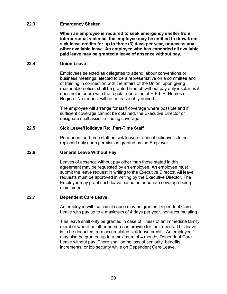## <span id="page-34-0"></span>**22.3 Emergency Shelter**

**When an employee is required to seek emergency shelter from interpersonal violence, the employee may be entitled to draw from sick leave credits for up to three (3) days per year, or access any other available leave. An employee who has expended all available paid leave may be granted a leave of absence without pay**.

## <span id="page-34-1"></span>**22.4 Union Leave**

Employees selected as delegates to attend labour conventions or business meetings, elected to be a representative on a committee and or training in connection with the affairs of the Union, upon giving reasonable notice, shall be granted time off without pay only insofar as it does not interfere with the regular operation of H.E.L.P. Homes of Regina. No request will be unreasonably denied.

The employee will arrange for staff coverage where possible and if sufficient coverage cannot be obtained, the Executive Director or designate shall assist in finding coverage.

## <span id="page-34-2"></span>**22.5 Sick Leave/Holidays Re: Part-Time Staff**

Permanent part-time staff on sick leave or annual holidays is to be replaced only upon permission granted by the Employer.

## <span id="page-34-3"></span>**22.6 General Leave Without Pay**

Leaves of absence without pay other than those stated in this agreement may be requested by an employee. An employee must submit the leave request in writing to the Executive Director. All leave requests must be approved in writing by the Executive Director. The Employer may grant such leave based on adequate coverage being maintained.

## <span id="page-34-4"></span>**22.7 Dependent Care Leave**

An employee with sufficient cause may be granted Dependent Care Leave with pay up to a maximum of 4 days per year, non-accumulating.

This leave shall only be granted in case of illness of an immediate family member where no other person can provide for their needs. This leave is to be deducted from accumulated sick leave credits. An employee may also be granted up to a maximum of 4 months Dependent Care Leave without pay. There shall be no loss of seniority, benefits, increments, or job security while on Dependent Care Leave.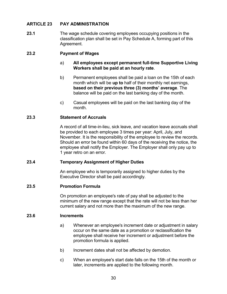## <span id="page-35-0"></span>**ARTICLE 23 PAY ADMINISTRATION**

**23.1** The wage schedule covering employees occupying positions in the classification plan shall be set in Pay Schedule A, forming part of this Agreement.

## **23.2 Payment of Wages**

- a) **All employees except permanent full-time Supportive Living Workers shall be paid at an hourly rate**.
- b) Permanent employees shall be paid a loan on the 15th of each month which will be **up to** half of their monthly net earnings, **based on their previous three (3) months' average**. The balance will be paid on the last banking day of the month.
- c) Casual employees will be paid on the last banking day of the month.

## <span id="page-35-1"></span>**23.3 Statement of Accruals**

A record of all time-in-lieu, sick leave, and vacation leave accruals shall be provided to each employee 3 times per year: April, July, and November. It is the responsibility of the employee to review the records. Should an error be found within 60 days of the receiving the notice, the employee shall notify the Employer. The Employer shall only pay up to 1 year retro on an error.

## <span id="page-35-2"></span>**23.4 Temporary Assignment of Higher Duties**

An employee who is temporarily assigned to higher duties by the Executive Director shall be paid accordingly.

#### <span id="page-35-3"></span>**23.5 Promotion Formula**

On promotion an employee's rate of pay shall be adjusted to the minimum of the new range except that the rate will not be less than her current salary and not more than the maximum of the new range.

#### <span id="page-35-4"></span>**23.6 Increments**

- a) Whenever an employee's increment date or adjustment in salary occur on the same date as a promotion or reclassification the employee shall receive her increment or adjustment before the promotion formula is applied.
- b) Increment dates shall not be affected by demotion.
- c) When an employee's start date falls on the 15th of the month or later, increments are applied to the following month.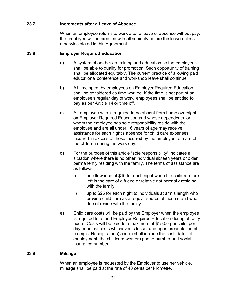## <span id="page-36-0"></span>**23.7 Increments after a Leave of Absence**

When an employee returns to work after a leave of absence without pay, the employee will be credited with all seniority before the leave unless otherwise stated in this Agreement.

## <span id="page-36-1"></span>**23.8 Employer Required Education**

- a) A system of on-the-job training and education so the employees shall be able to qualify for promotion. Such opportunity of training shall be allocated equitably. The current practice of allowing paid educational conference and workshop leave shall continue.
- b) All time spent by employees on Employer Required Education shall be considered as time worked. If the time is not part of an employee's regular day of work, employees shall be entitled to pay as per Article 14 or time off.
- c) An employee who is required to be absent from home overnight on Employer Required Education and whose dependents for whom the employee has sole responsibility reside with the employee and are all under 16 years of age may receive assistance for each night's absence for child care expenses incurred in excess of those incurred by the employee for care of the children during the work day.
- d) For the purpose of this article "sole responsibility" indicates a situation where there is no other individual sixteen years or older permanently residing with the family. The terms of assistance are as follows:
	- i) an allowance of \$10 for each night when the child(ren) are left in the care of a friend or relative not normally residing with the family.
	- ii) up to \$25 for each night to individuals at arm's length who provide child care as a regular source of income and who do not reside with the family.
- e) Child care costs will be paid by the Employer when the employee is required to attend Employer Required Education during off duty hours. Costs will be paid to a maximum of \$15.00 per child, per day or actual costs whichever is lesser and upon presentation of receipts. Receipts for c) and d) shall include the cost, dates of employment, the childcare workers phone number and social insurance number.

## <span id="page-36-2"></span>**23.9 Mileage**

When an employee is requested by the Employer to use her vehicle, mileage shall be paid at the rate of 40 cents per kilometre.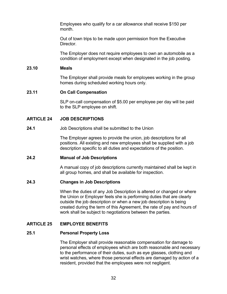Employees who qualify for a car allowance shall receive \$150 per month.

Out of town trips to be made upon permission from the Executive Director.

The Employer does not require employees to own an automobile as a condition of employment except when designated in the job posting.

#### <span id="page-37-0"></span>**23.10 Meals**

The Employer shall provide meals for employees working in the group homes during scheduled working hours only.

## <span id="page-37-1"></span>**23.11 On Call Compensation**

SLP on-call compensation of \$5.00 per employee per day will be paid to the SLP employee on shift.

## <span id="page-37-2"></span>**ARTICLE 24 JOB DESCRIPTIONS**

## **24.1** Job Descriptions shall be submitted to the Union

The Employer agrees to provide the union, job descriptions for all positions. All existing and new employees shall be supplied with a job description specific to all duties and expectations of the position.

## <span id="page-37-3"></span>**24.2 Manual of Job Descriptions**

A manual copy of job descriptions currently maintained shall be kept in all group homes, and shall be available for inspection.

## <span id="page-37-4"></span>**24.3 Changes in Job Descriptions**

When the duties of any Job Description is altered or changed or where the Union or Employer feels she is performing duties that are clearly outside the job description or when a new job description is being created during the term of this Agreement, the rate of pay and hours of work shall be subject to negotiations between the parties.

## <span id="page-37-5"></span>**ARTICLE 25 EMPLOYEE BENEFITS**

## <span id="page-37-6"></span>**25.1 Personal Property Loss**

The Employer shall provide reasonable compensation for damage to personal effects of employees which are both reasonable and necessary to the performance of their duties, such as eye glasses, clothing and wrist watches, where those personal effects are damaged by action of a resident, provided that the employees were not negligent.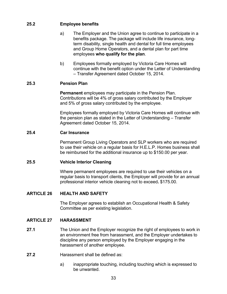## <span id="page-38-0"></span>**25.2 Employee benefits**

- a) The Employer and the Union agree to continue to participate in a benefits package. The package will include life insurance, longterm disability, single health and dental for full time employees and Group Home Operators, and a dental plan for part time employees **who qualify for the plan**.
- b) Employees formally employed by Victoria Care Homes will continue with the benefit option under the Letter of Understanding – Transfer Agreement dated October 15, 2014.

## <span id="page-38-1"></span>**25.3 Pension Plan**

**Permanent** employees may participate in the Pension Plan. Contributions will be 4% of gross salary contributed by the Employer and 5% of gross salary contributed by the employee.

Employees formally employed by Victoria Care Homes will continue with the pension plan as stated in the Letter of Understanding – Transfer Agreement dated October 15, 2014.

## <span id="page-38-2"></span>**25.4 Car Insurance**

Permanent Group Living Operators and SLP workers who are required to use their vehicle on a regular basis for H.E.L.P. Homes business shall be reimbursed for the additional insurance up to \$150.00 per year.

## <span id="page-38-3"></span>**25.5 Vehicle Interior Cleaning**

Where permanent employees are required to use their vehicles on a regular basis to transport clients, the Employer will provide for an annual professional interior vehicle cleaning not to exceed**.** \$175.00.

## <span id="page-38-4"></span>**ARTICLE 26 HEALTH AND SAFETY**

The Employer agrees to establish an Occupational Health & Safety Committee as per existing legislation.

## <span id="page-38-5"></span>**ARTICLE 27 HARASSMENT**

- **27.1** The Union and the Employer recognize the right of employees to work in an environment free from harassment, and the Employer undertakes to discipline any person employed by the Employer engaging in the harassment of another employee.
- **27.2** Harassment shall be defined as:
	- a) inappropriate touching, including touching which is expressed to be unwanted.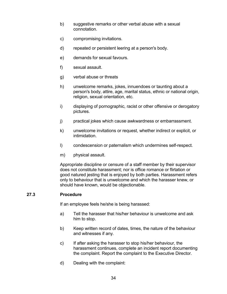- b) suggestive remarks or other verbal abuse with a sexual connotation.
- c) compromising invitations.
- d) repeated or persistent leering at a person's body.
- e) demands for sexual favours.
- f) sexual assault.
- g) verbal abuse or threats
- h) unwelcome remarks, jokes, innuendoes or taunting about a person's body, attire, age, marital status, ethnic or national origin, religion, sexual orientation, etc.
- i) displaying of pornographic, racist or other offensive or derogatory pictures.
- j) practical jokes which cause awkwardness or embarrassment.
- k) unwelcome invitations or request, whether indirect or explicit, or intimidation.
- l) condescension or paternalism which undermines self-respect.
- m) physical assault.

Appropriate discipline or censure of a staff member by their supervisor does not constitute harassment; nor is office romance or flirtation or good natured jesting that is enjoyed by both parties. Harassment refers only to behaviour that is unwelcome and which the harasser knew, or should have known, would be objectionable.

## <span id="page-39-0"></span>**27.3 Procedure**

If an employee feels he/she is being harassed:

- a) Tell the harasser that his/her behaviour is unwelcome and ask him to stop.
- b) Keep written record of dates, times, the nature of the behaviour and witnesses if any.
- c) If after asking the harasser to stop his/her behaviour, the harassment continues, complete an incident report documenting the complaint. Report the complaint to the Executive Director.
- d) Dealing with the complaint: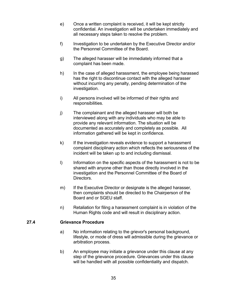- e) Once a written complaint is received, it will be kept strictly confidential. An investigation will be undertaken immediately and all necessary steps taken to resolve the problem.
- f) Investigation to be undertaken by the Executive Director and/or the Personnel Committee of the Board.
- g) The alleged harasser will be immediately informed that a complaint has been made.
- h) In the case of alleged harassment, the employee being harassed has the right to discontinue contact with the alleged harasser without incurring any penalty, pending determination of the investigation.
- i) All persons involved will be informed of their rights and responsibilities.
- j) The complainant and the alleged harasser will both be interviewed along with any individuals who may be able to provide any relevant information. The situation will be documented as accurately and completely as possible. All information gathered will be kept in confidence.
- k) If the investigation reveals evidence to support a harassment complaint disciplinary action which reflects the seriousness of the incident will be taken up to and including dismissal.
- I) Information on the specific aspects of the harassment is not to be shared with anyone other than those directly involved in the investigation and the Personnel Committee of the Board of Directors.
- m) If the Executive Director or designate is the alleged harasser, then complaints should be directed to the Chairperson of the Board and or SGEU staff.
- n) Retaliation for filing a harassment complaint is in violation of the Human Rights code and will result in disciplinary action.

## **27.4 Grievance Procedure**

- a) No information relating to the grievor's personal background, lifestyle, or mode of dress will admissible during the grievance or arbitration process.
- b) An employee may initiate a grievance under this clause at any step of the grievance procedure. Grievances under this clause will be handled with all possible confidentiality and dispatch.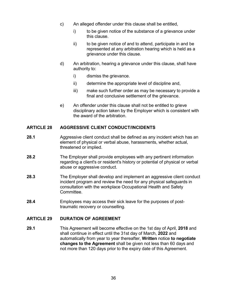- c) An alleged offender under this clause shall be entitled,
	- i) to be given notice of the substance of a grievance under this clause.
	- ii) to be given notice of and to attend, participate in and be represented at any arbitration hearing which is held as a grievance under this clause.
- d) An arbitration, hearing a grievance under this clause, shall have authority to:
	- i) dismiss the grievance.
	- ii) determine the appropriate level of discipline and,
	- iii) make such further order as may be necessary to provide a final and conclusive settlement of the grievance.
- e) An offender under this clause shall not be entitled to grieve disciplinary action taken by the Employer which is consistent with the award of the arbitration.

## <span id="page-41-0"></span>**ARTICLE 28 AGGRESSIVE CLIENT CONDUCT/INCIDENTS**

- **28.1** Aggressive client conduct shall be defined as any incident which has an element of physical or verbal abuse, harassments, whether actual, threatened or implied.
- **28.2** The Employer shall provide employees with any pertinent information regarding a client's or resident's history or potential of physical or verbal abuse or aggressive conduct.
- **28.3** The Employer shall develop and implement an aggressive client conduct incident program and review the need for any physical safeguards in consultation with the workplace Occupational Health and Safety Committee.
- **28.4** Employees may access their sick leave for the purposes of posttraumatic recovery or counselling.

## <span id="page-41-1"></span>**ARTICLE 29 DURATION OF AGREEMENT**

**29.1** This Agreement will become effective on the 1st day of April, **2018** and shall continue in effect until the 31st day of March, **2022** and automatically from year to year thereafter, **Written** notice **to negotiate changes to the Agreement** shall be given not less than 60 days and not more than 120 days prior to the expiry date of this Agreement.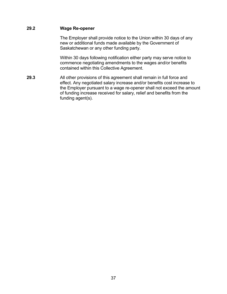## <span id="page-42-0"></span>**29.2 Wage Re-opener**

The Employer shall provide notice to the Union within 30 days of any new or additional funds made available by the Government of Saskatchewan or any other funding party.

Within 30 days following notification either party may serve notice to commence negotiating amendments to the wages and/or benefits contained within this Collective Agreement.

**29.3** All other provisions of this agreement shall remain in full force and effect. Any negotiated salary increase and/or benefits cost increase to the Employer pursuant to a wage re-opener shall not exceed the amount of funding increase received for salary, relief and benefits from the funding agent(s).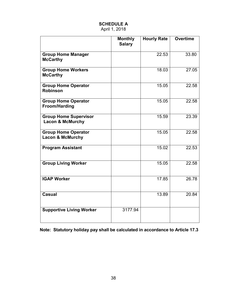<span id="page-43-0"></span>

|                                                             | <b>Monthly</b><br><b>Salary</b> | <b>Hourly Rate</b> | <b>Overtime</b> |
|-------------------------------------------------------------|---------------------------------|--------------------|-----------------|
| <b>Group Home Manager</b><br><b>McCarthy</b>                |                                 | 22.53              | 33.80           |
| <b>Group Home Workers</b><br><b>McCarthy</b>                |                                 | 18.03              | 27.05           |
| <b>Group Home Operator</b><br><b>Robinson</b>               |                                 | 15.05              | 22.58           |
| <b>Group Home Operator</b><br><b>Froom/Harding</b>          |                                 | 15.05              | 22.58           |
| <b>Group Home Supervisor</b><br><b>Lacon &amp; McMurchy</b> |                                 | 15.59              | 23.39           |
| <b>Group Home Operator</b><br><b>Lacon &amp; McMurchy</b>   |                                 | 15.05              | 22.58           |
| <b>Program Assistant</b>                                    |                                 | 15.02              | 22.53           |
| <b>Group Living Worker</b>                                  |                                 | 15.05              | 22.58           |
| <b>IGAP Worker</b>                                          |                                 | 17.85              | 26.78           |
| <b>Casual</b>                                               |                                 | 13.89              | 20.84           |
| <b>Supportive Living Worker</b>                             | 3177.94                         |                    |                 |

## **SCHEDULE A** April 1, 2018

**Note: Statutory holiday pay shall be calculated in accordance to Article 17.3**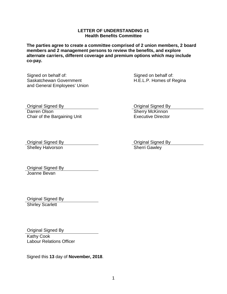#### **LETTER OF UNDERSTANDING #1 Health Benefits Committee**

**The parties agree to create a committee comprised of 2 union members, 2 board members and 2 management persons to review the benefits, and explore alternate carriers, different coverage and premium options which may include co-pay.**

Signed on behalf of: Saskatchewan Government and General Employees' Union Signed on behalf of: H.E.L.P. Homes of Regina

Original Signed By Darren Olson Chair of the Bargaining Unit

Original Signed By **Sherry McKinnon** Executive Director

Original Signed By **Original Signed By** Original Signed By **Original Signed By** Shelley Halvorson

Original Signed By Joanne Bevan

Original Signed By **Shirley Scarlett** 

Original Signed By

Kathy Cook Labour Relations Officer

Signed this **13** day of **November, 2018**.